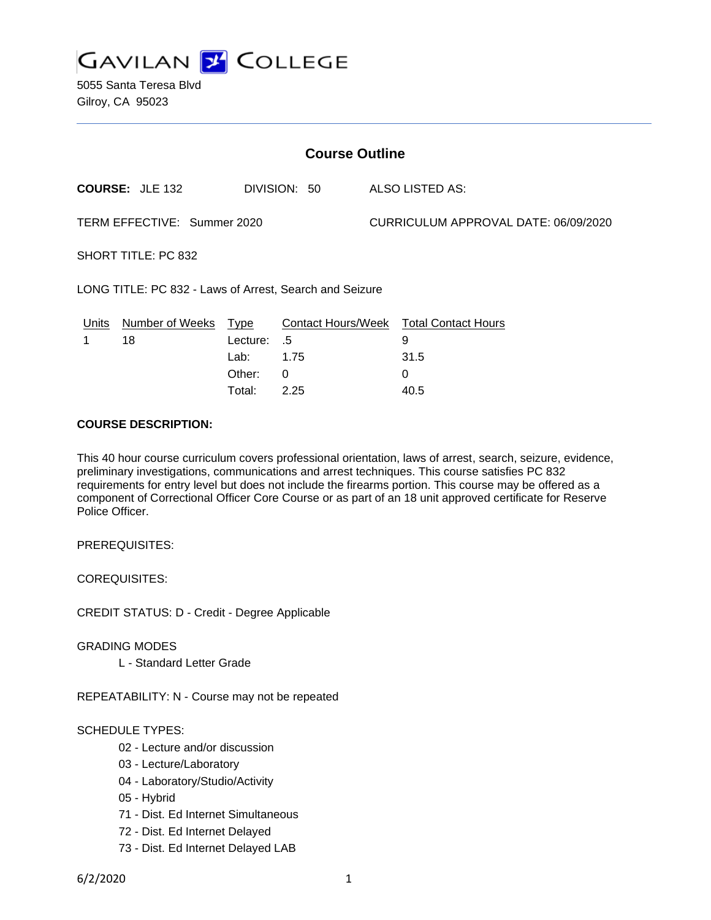

5055 Santa Teresa Blvd Gilroy, CA 95023

| <b>Course Outline</b>                                   |                                      |                         |                                      |                                        |
|---------------------------------------------------------|--------------------------------------|-------------------------|--------------------------------------|----------------------------------------|
| <b>COURSE: JLE 132</b>                                  | DIVISION: 50                         |                         | ALSO LISTED AS:                      |                                        |
| TERM EFFECTIVE: Summer 2020                             |                                      |                         | CURRICULUM APPROVAL DATE: 06/09/2020 |                                        |
| SHORT TITLE: PC 832                                     |                                      |                         |                                      |                                        |
| LONG TITLE: PC 832 - Laws of Arrest, Search and Seizure |                                      |                         |                                      |                                        |
| Number of Weeks<br>18                                   | Lecture:<br>Lab:<br>Other:<br>Total: | .5<br>1.75<br>0<br>2.25 |                                      | 9<br>31.5<br>0<br>40.5                 |
|                                                         |                                      | Type                    |                                      | Contact Hours/Week Total Contact Hours |

## **COURSE DESCRIPTION:**

This 40 hour course curriculum covers professional orientation, laws of arrest, search, seizure, evidence, preliminary investigations, communications and arrest techniques. This course satisfies PC 832 requirements for entry level but does not include the firearms portion. This course may be offered as a component of Correctional Officer Core Course or as part of an 18 unit approved certificate for Reserve Police Officer.

PREREQUISITES:

COREQUISITES:

CREDIT STATUS: D - Credit - Degree Applicable

GRADING MODES

L - Standard Letter Grade

REPEATABILITY: N - Course may not be repeated

## SCHEDULE TYPES:

- 02 Lecture and/or discussion
- 03 Lecture/Laboratory
- 04 Laboratory/Studio/Activity
- 05 Hybrid
- 71 Dist. Ed Internet Simultaneous
- 72 Dist. Ed Internet Delayed
- 73 Dist. Ed Internet Delayed LAB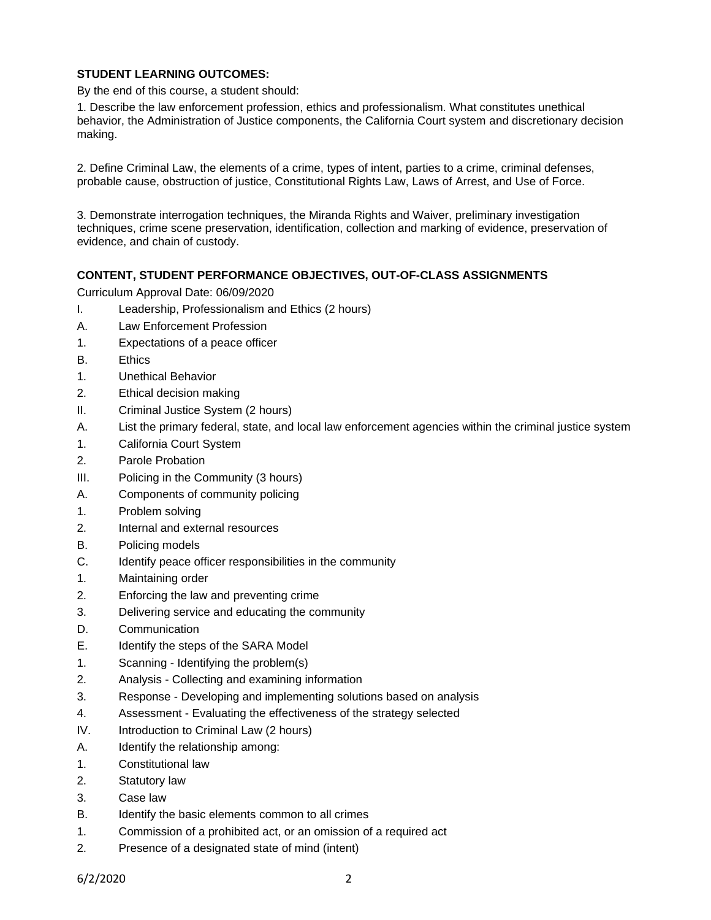# **STUDENT LEARNING OUTCOMES:**

By the end of this course, a student should:

1. Describe the law enforcement profession, ethics and professionalism. What constitutes unethical behavior, the Administration of Justice components, the California Court system and discretionary decision making.

2. Define Criminal Law, the elements of a crime, types of intent, parties to a crime, criminal defenses, probable cause, obstruction of justice, Constitutional Rights Law, Laws of Arrest, and Use of Force.

3. Demonstrate interrogation techniques, the Miranda Rights and Waiver, preliminary investigation techniques, crime scene preservation, identification, collection and marking of evidence, preservation of evidence, and chain of custody.

### **CONTENT, STUDENT PERFORMANCE OBJECTIVES, OUT-OF-CLASS ASSIGNMENTS**

Curriculum Approval Date: 06/09/2020

- I. Leadership, Professionalism and Ethics (2 hours)
- A. Law Enforcement Profession
- 1. Expectations of a peace officer
- B. Ethics
- 1. Unethical Behavior
- 2. Ethical decision making
- II. Criminal Justice System (2 hours)
- A. List the primary federal, state, and local law enforcement agencies within the criminal justice system
- 1. California Court System
- 2. Parole Probation
- III. Policing in the Community (3 hours)
- A. Components of community policing
- 1. Problem solving
- 2. Internal and external resources
- B. Policing models
- C. Identify peace officer responsibilities in the community
- 1. Maintaining order
- 2. Enforcing the law and preventing crime
- 3. Delivering service and educating the community
- D. Communication
- E. Identify the steps of the SARA Model
- 1. Scanning Identifying the problem(s)
- 2. Analysis Collecting and examining information
- 3. Response Developing and implementing solutions based on analysis
- 4. Assessment Evaluating the effectiveness of the strategy selected
- IV. Introduction to Criminal Law (2 hours)
- A. Identify the relationship among:
- 1. Constitutional law
- 2. Statutory law
- 3. Case law
- B. Identify the basic elements common to all crimes
- 1. Commission of a prohibited act, or an omission of a required act
- 2. Presence of a designated state of mind (intent)

6/2/2020 2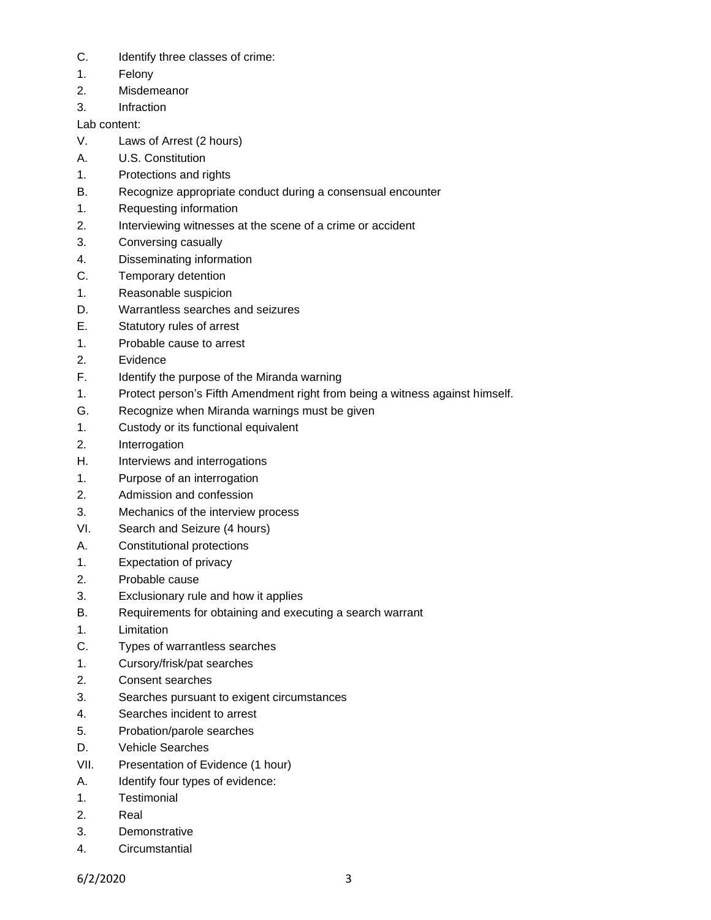- C. Identify three classes of crime:
- 1. Felony
- 2. Misdemeanor
- 3. Infraction

Lab content:

- V. Laws of Arrest (2 hours)
- A. U.S. Constitution
- 1. Protections and rights
- B. Recognize appropriate conduct during a consensual encounter
- 1. Requesting information
- 2. Interviewing witnesses at the scene of a crime or accident
- 3. Conversing casually
- 4. Disseminating information
- C. Temporary detention
- 1. Reasonable suspicion
- D. Warrantless searches and seizures
- E. Statutory rules of arrest
- 1. Probable cause to arrest
- 2. Evidence
- F. Identify the purpose of the Miranda warning
- 1. Protect person's Fifth Amendment right from being a witness against himself.
- G. Recognize when Miranda warnings must be given
- 1. Custody or its functional equivalent
- 2. Interrogation
- H. Interviews and interrogations
- 1. Purpose of an interrogation
- 2. Admission and confession
- 3. Mechanics of the interview process
- VI. Search and Seizure (4 hours)
- A. Constitutional protections
- 1. Expectation of privacy
- 2. Probable cause
- 3. Exclusionary rule and how it applies
- B. Requirements for obtaining and executing a search warrant
- 1. Limitation
- C. Types of warrantless searches
- 1. Cursory/frisk/pat searches
- 2. Consent searches
- 3. Searches pursuant to exigent circumstances
- 4. Searches incident to arrest
- 5. Probation/parole searches
- D. Vehicle Searches
- VII. Presentation of Evidence (1 hour)
- A. Identify four types of evidence:
- 1. Testimonial
- 2. Real
- 3. Demonstrative
- 4. Circumstantial

6/2/2020 3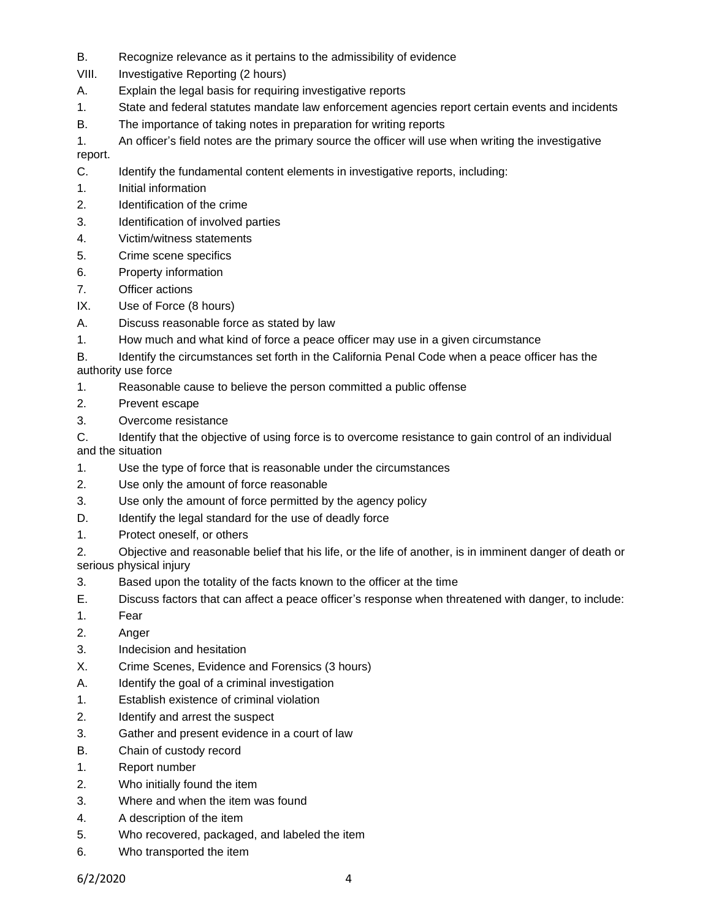- B. Recognize relevance as it pertains to the admissibility of evidence
- VIII. Investigative Reporting (2 hours)
- A. Explain the legal basis for requiring investigative reports
- 1. State and federal statutes mandate law enforcement agencies report certain events and incidents
- B. The importance of taking notes in preparation for writing reports
- 1. An officer's field notes are the primary source the officer will use when writing the investigative

report.

- C. Identify the fundamental content elements in investigative reports, including:
- 1. Initial information
- 2. Identification of the crime
- 3. Identification of involved parties
- 4. Victim/witness statements
- 5. Crime scene specifics
- 6. Property information
- 7. Officer actions
- IX. Use of Force (8 hours)
- A. Discuss reasonable force as stated by law
- 1. How much and what kind of force a peace officer may use in a given circumstance
- B. Identify the circumstances set forth in the California Penal Code when a peace officer has the authority use force
- 1. Reasonable cause to believe the person committed a public offense
- 2. Prevent escape
- 3. Overcome resistance
- C. Identify that the objective of using force is to overcome resistance to gain control of an individual and the situation
- 1. Use the type of force that is reasonable under the circumstances
- 2. Use only the amount of force reasonable
- 3. Use only the amount of force permitted by the agency policy
- D. Identify the legal standard for the use of deadly force
- 1. Protect oneself, or others
- 2. Objective and reasonable belief that his life, or the life of another, is in imminent danger of death or serious physical injury
- 3. Based upon the totality of the facts known to the officer at the time
- E. Discuss factors that can affect a peace officer's response when threatened with danger, to include:
- 1. Fear
- 2. Anger
- 3. Indecision and hesitation
- X. Crime Scenes, Evidence and Forensics (3 hours)
- A. Identify the goal of a criminal investigation
- 1. Establish existence of criminal violation
- 2. Identify and arrest the suspect
- 3. Gather and present evidence in a court of law
- B. Chain of custody record
- 1. Report number
- 2. Who initially found the item
- 3. Where and when the item was found
- 4. A description of the item
- 5. Who recovered, packaged, and labeled the item
- 6. Who transported the item

6/2/2020 4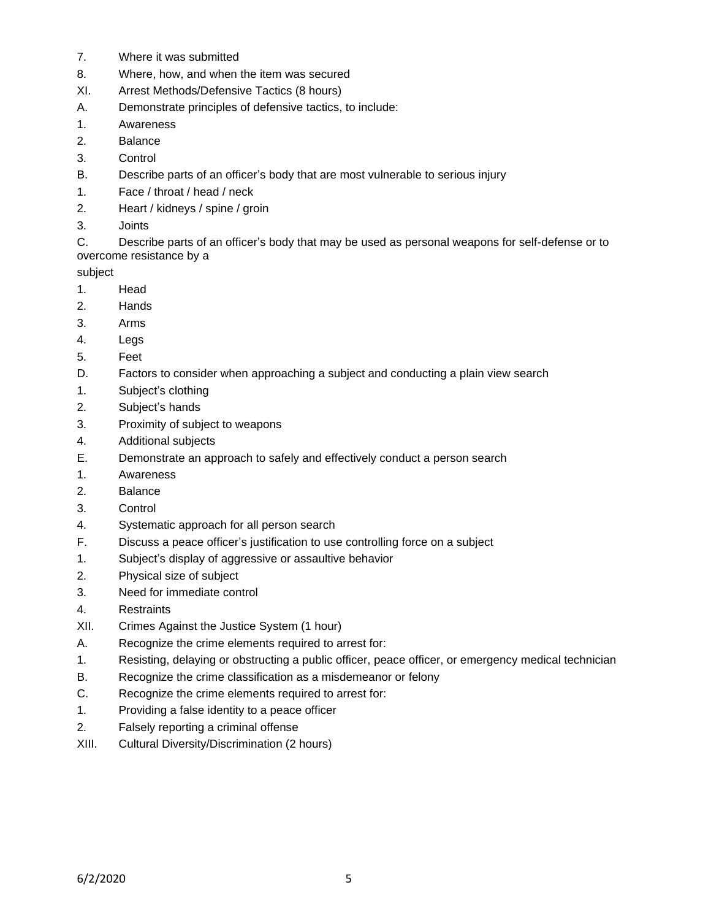- 7. Where it was submitted
- 8. Where, how, and when the item was secured
- XI. Arrest Methods/Defensive Tactics (8 hours)
- A. Demonstrate principles of defensive tactics, to include:
- 1. Awareness
- 2. Balance
- 3. Control
- B. Describe parts of an officer's body that are most vulnerable to serious injury
- 1. Face / throat / head / neck
- 2. Heart / kidneys / spine / groin
- 3. Joints

C. Describe parts of an officer's body that may be used as personal weapons for self-defense or to overcome resistance by a

subject

- 1. Head
- 2. Hands
- 3. Arms
- 4. Legs
- 5. Feet
- D. Factors to consider when approaching a subject and conducting a plain view search
- 1. Subject's clothing
- 2. Subject's hands
- 3. Proximity of subject to weapons
- 4. Additional subjects
- E. Demonstrate an approach to safely and effectively conduct a person search
- 1. Awareness
- 2. Balance
- 3. Control
- 4. Systematic approach for all person search
- F. Discuss a peace officer's justification to use controlling force on a subject
- 1. Subject's display of aggressive or assaultive behavior
- 2. Physical size of subject
- 3. Need for immediate control
- 4. Restraints
- XII. Crimes Against the Justice System (1 hour)
- A. Recognize the crime elements required to arrest for:
- 1. Resisting, delaying or obstructing a public officer, peace officer, or emergency medical technician
- B. Recognize the crime classification as a misdemeanor or felony
- C. Recognize the crime elements required to arrest for:
- 1. Providing a false identity to a peace officer
- 2. Falsely reporting a criminal offense
- XIII. Cultural Diversity/Discrimination (2 hours)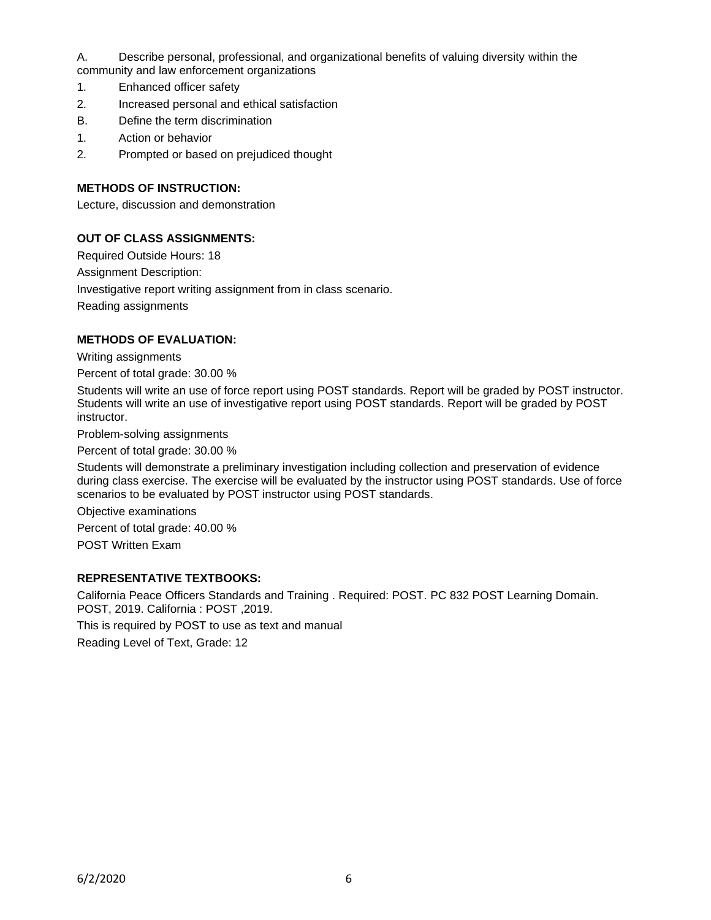A. Describe personal, professional, and organizational benefits of valuing diversity within the community and law enforcement organizations

- 1. Enhanced officer safety
- 2. Increased personal and ethical satisfaction
- B. Define the term discrimination
- 1. Action or behavior
- 2. Prompted or based on prejudiced thought

### **METHODS OF INSTRUCTION:**

Lecture, discussion and demonstration

### **OUT OF CLASS ASSIGNMENTS:**

Required Outside Hours: 18 Assignment Description: Investigative report writing assignment from in class scenario.

Reading assignments

#### **METHODS OF EVALUATION:**

Writing assignments

Percent of total grade: 30.00 %

Students will write an use of force report using POST standards. Report will be graded by POST instructor. Students will write an use of investigative report using POST standards. Report will be graded by POST instructor.

Problem-solving assignments

Percent of total grade: 30.00 %

Students will demonstrate a preliminary investigation including collection and preservation of evidence during class exercise. The exercise will be evaluated by the instructor using POST standards. Use of force scenarios to be evaluated by POST instructor using POST standards.

Objective examinations

Percent of total grade: 40.00 % POST Written Exam

#### **REPRESENTATIVE TEXTBOOKS:**

California Peace Officers Standards and Training . Required: POST. PC 832 POST Learning Domain. POST, 2019. California : POST ,2019.

This is required by POST to use as text and manual

Reading Level of Text, Grade: 12